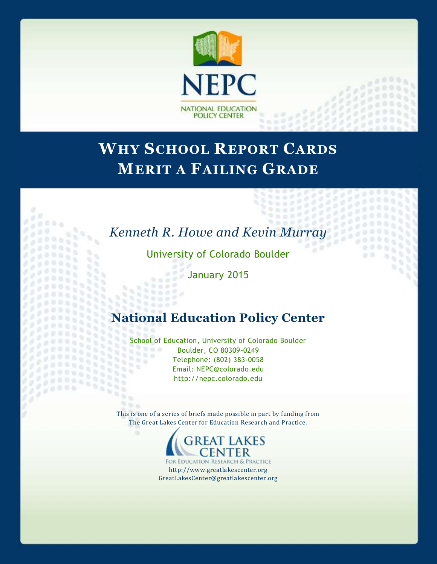

# **WHY SCHOOL REPORT CARDS MERIT A FAILING GRADE**

# *Kenneth R. Howe and Kevin Murray*

 $\sigma$ 

University of Colorado Boulder

January 2015

 $000$  $0.000$  $0.02$  $0000$ 

 $0.0000$ 

 $\overline{\mathbf{u}}$ 

 $\mathcal{U}_\mathrm{f}$ 

 $9.6.6$ 

 $188$ 

 $\frac{1}{2}$ 33333

# **National Education Policy Center**

School of Education, University of Colorado Boulder<br>Boulder, CO 80309-0249  $0.009$ Boulder, CO 80309-0249 555 Telephone: (802) 383-0058  $\sim 1$ Email: NEPC@colorado.edu http://nepc.colorado.edu

This is one of a series of briefs made possible in part by funding from The Great Lakes Center for Education Research and Practice.



FOR EDUCATION RESEARCH & PRACTICE http://www.greatlakescenter.org GreatLakesCenter@greatlakescenter.org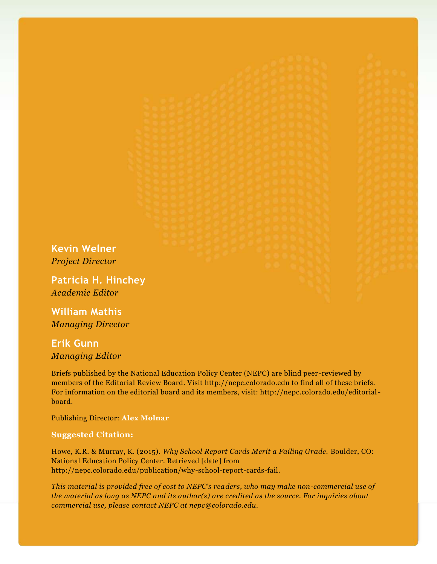**Kevin Welner** *Project Director*

**Patricia H. Hinchey** *Academic Editor*

**William Mathis** *Managing Director*

**Erik Gunn** *Managing Editor*

Briefs published by the National Education Policy Center (NEPC) are blind peer -reviewed by members of the Editorial Review Board. Visit http://nepc.colorado.edu to find all of these briefs. For information on the editorial board and its members, visit: http://nepc.colorado.edu/editorialboard.

Publishing Director: **Alex Molnar**

#### **Suggested Citation:**

Howe, K.R. & Murray, K. (2015). *Why School Report Cards Merit a Failing Grade.* Boulder, CO: National Education Policy Center. Retrieved [date] from http://nepc.colorado.edu/publication/why-school-report-cards-fail.

*This material is provided free of cost to NEPC's readers, who may make non-commercial use of the material as long as NEPC and its author(s) are credited as the source. For inquiries about commercial use, please contact NEPC at nepc@colorado.edu.*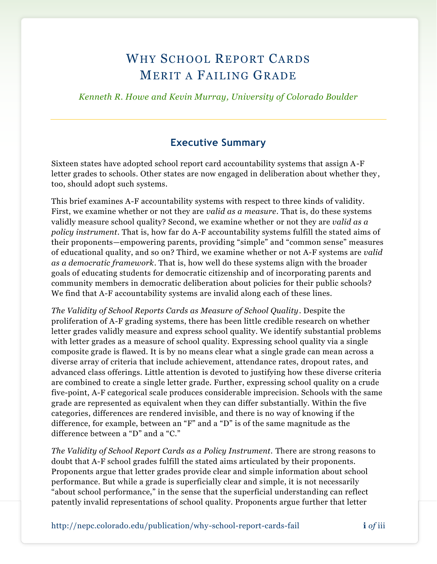# WHY SCHOOL REPORT CARDS MERIT A FAILING GRADE

*Kenneth R. Howe and Kevin Murray, University of Colorado Boulder*

### **Executive Summary**

Sixteen states have adopted school report card accountability systems that assign A-F letter grades to schools. Other states are now engaged in deliberation about whether they, too, should adopt such systems.

This brief examines A-F accountability systems with respect to three kinds of validity. First, we examine whether or not they are *valid as a measure*. That is, do these systems validly measure school quality? Second, we examine whether or not they are *valid as a policy instrument*. That is, how far do A-F accountability systems fulfill the stated aims of their proponents—empowering parents, providing "simple" and "common sense" measures of educational quality, and so on? Third, we examine whether or not A-F systems are *valid as a democratic framework*. That is, how well do these systems align with the broader goals of educating students for democratic citizenship and of incorporating parents and community members in democratic deliberation about policies for their public schools? We find that A-F accountability systems are invalid along each of these lines.

*The Validity of School Reports Cards as Measure of School Quality*. Despite the proliferation of A-F grading systems, there has been little credible research on whether letter grades validly measure and express school quality. We identify substantial problems with letter grades as a measure of school quality. Expressing school quality via a single composite grade is flawed. It is by no means clear what a single grade can mean across a diverse array of criteria that include achievement, attendance rates, dropout rates, and advanced class offerings. Little attention is devoted to justifying how these diverse criteria are combined to create a single letter grade. Further, expressing school quality on a crude five-point, A-F categorical scale produces considerable imprecision. Schools with the same grade are represented as equivalent when they can differ substantially. Within the five categories, differences are rendered invisible, and there is no way of knowing if the difference, for example, between an "F" and a "D" is of the same magnitude as the difference between a "D" and a "C."

*The Validity of School Report Cards as a Policy Instrument.* There are strong reasons to doubt that A-F school grades fulfill the stated aims articulated by their proponents. Proponents argue that letter grades provide clear and simple information about school performance. But while a grade is superficially clear and simple, it is not necessarily "about school performance," in the sense that the superficial understanding can reflect patently invalid representations of school quality. Proponents argue further that letter

http://nepc.colorado.edu/publication/why-school-report-cards-fail **i** *of* iii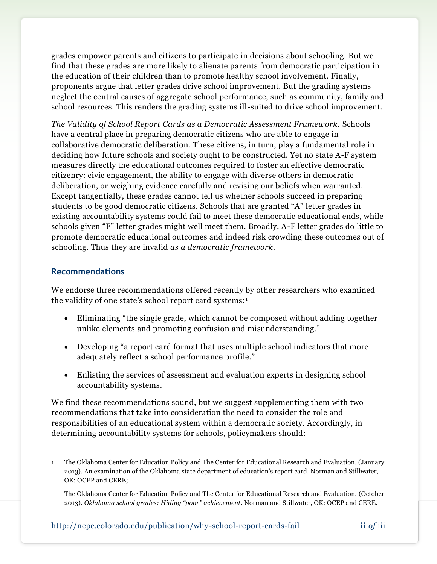grades empower parents and citizens to participate in decisions about schooling. But we find that these grades are more likely to alienate parents from democratic participation in the education of their children than to promote healthy school involvement. Finally, proponents argue that letter grades drive school improvement. But the grading systems neglect the central causes of aggregate school performance, such as community, family and school resources. This renders the grading systems ill-suited to drive school improvement.

*The Validity of School Report Cards as a Democratic Assessment Framework.* Schools have a central place in preparing democratic citizens who are able to engage in collaborative democratic deliberation. These citizens, in turn, play a fundamental role in deciding how future schools and society ought to be constructed. Yet no state A-F system measures directly the educational outcomes required to foster an effective democratic citizenry: civic engagement, the ability to engage with diverse others in democratic deliberation, or weighing evidence carefully and revising our beliefs when warranted. Except tangentially, these grades cannot tell us whether schools succeed in preparing students to be good democratic citizens. Schools that are granted "A" letter grades in existing accountability systems could fail to meet these democratic educational ends, while schools given "F" letter grades might well meet them. Broadly, A-F letter grades do little to promote democratic educational outcomes and indeed risk crowding these outcomes out of schooling. Thus they are invalid *as a democratic framework*.

#### **Recommendations**

We endorse three recommendations offered recently by other researchers who examined the validity of one state's school report card systems:<sup>1</sup>

- Eliminating "the single grade, which cannot be composed without adding together unlike elements and promoting confusion and misunderstanding."
- Developing "a report card format that uses multiple school indicators that more adequately reflect a school performance profile."
- Enlisting the services of assessment and evaluation experts in designing school accountability systems.

We find these recommendations sound, but we suggest supplementing them with two recommendations that take into consideration the need to consider the role and responsibilities of an educational system within a democratic society. Accordingly, in determining accountability systems for schools, policymakers should:

 $\overline{a}$ 1 The Oklahoma Center for Education Policy and The Center for Educational Research and Evaluation. (January 2013). An examination of the Oklahoma state department of education's report card. Norman and Stillwater, OK: OCEP and CERE;

The Oklahoma Center for Education Policy and The Center for Educational Research and Evaluation. (October 2013). *Oklahoma school grades: Hiding "poor" achievement*. Norman and Stillwater, OK: OCEP and CERE.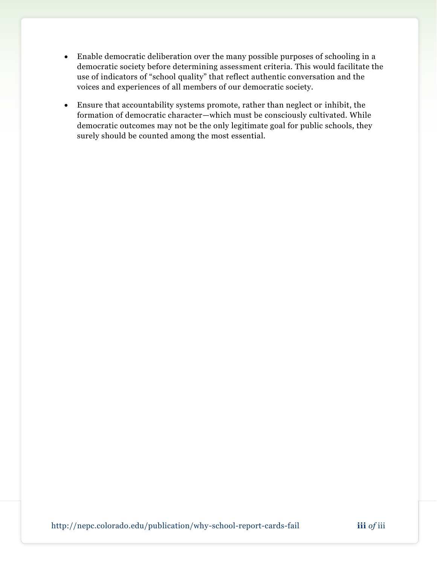- Enable democratic deliberation over the many possible purposes of schooling in a democratic society before determining assessment criteria. This would facilitate the use of indicators of "school quality" that reflect authentic conversation and the voices and experiences of all members of our democratic society.
- Ensure that accountability systems promote, rather than neglect or inhibit, the formation of democratic character—which must be consciously cultivated. While democratic outcomes may not be the only legitimate goal for public schools, they surely should be counted among the most essential.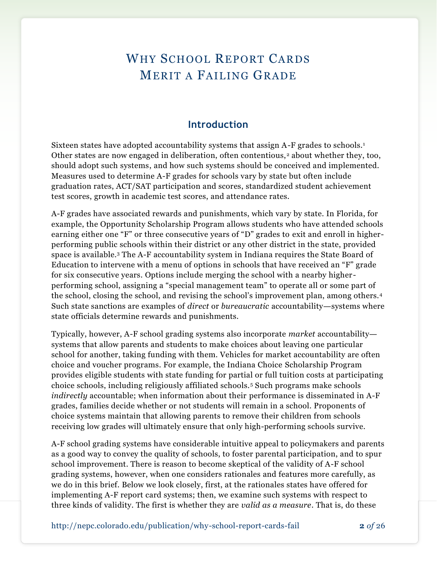# WHY SCHOOL REPORT CARDS MERIT A FAILING GRADE

### **Introduction**

Sixteen states have adopted accountability systems that assign A-F grades to schools.<sup>1</sup> Other states are now engaged in deliberation, often contentious,<sup>2</sup> about whether they, too, should adopt such systems, and how such systems should be conceived and implemented. Measures used to determine A-F grades for schools vary by state but often include graduation rates, ACT/SAT participation and scores, standardized student achievement test scores, growth in academic test scores, and attendance rates.

A-F grades have associated rewards and punishments, which vary by state. In Florida, for example, the Opportunity Scholarship Program allows students who have attended schools earning either one "F" or three consecutive years of "D" grades to exit and enroll in higherperforming public schools within their district or any other district in the state, provided space is available.<sup>3</sup> The A-F accountability system in Indiana requires the State Board of Education to intervene with a menu of options in schools that have received an "F" grade for six consecutive years. Options include merging the school with a nearby higher performing school, assigning a "special management team" to operate all or some part of the school, closing the school, and revising the school's improvement plan, among others.<sup>4</sup> Such state sanctions are examples of *direct* or *bureaucratic* accountability—systems where state officials determine rewards and punishments.

Typically, however, A-F school grading systems also incorporate *market* accountability systems that allow parents and students to make choices about leaving one particular school for another, taking funding with them. Vehicles for market accountability are often choice and voucher programs. For example, the Indiana Choice Scholarship Program provides eligible students with state funding for partial or full tuition costs at participating choice schools, including religiously affiliated schools.<sup>5</sup> Such programs make schools *indirectly* accountable; when information about their performance is disseminated in A-F grades, families decide whether or not students will remain in a school. Proponents of choice systems maintain that allowing parents to remove their children from schools receiving low grades will ultimately ensure that only high-performing schools survive.

A-F school grading systems have considerable intuitive appeal to policymakers and parents as a good way to convey the quality of schools, to foster parental participation, and to spur school improvement. There is reason to become skeptical of the validity of A-F school grading systems, however, when one considers rationales and features more carefully, as we do in this brief. Below we look closely, first, at the rationales states have offered for implementing A-F report card systems; then, we examine such systems with respect to three kinds of validity. The first is whether they are *valid as a measure*. That is, do these

http://nepc.colorado.edu/publication/why-school-report-cards-fail **2** *of* 26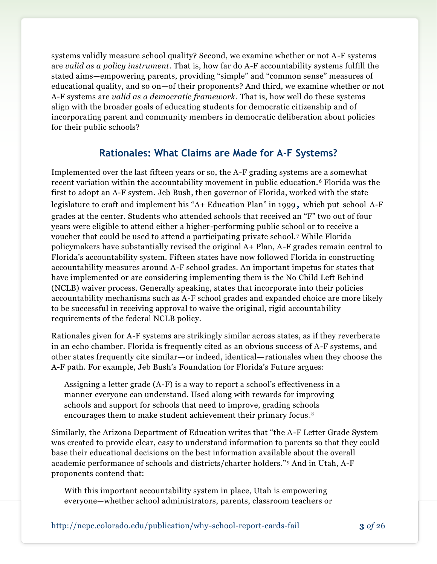systems validly measure school quality? Second, we examine whether or not A-F systems are *valid as a policy instrument*. That is, how far do A-F accountability systems fulfill the stated aims—empowering parents, providing "simple" and "common sense" measures of educational quality, and so on—of their proponents? And third, we examine whether or not A-F systems are *valid as a democratic framework*. That is, how well do these systems align with the broader goals of educating students for democratic citizenship and of incorporating parent and community members in democratic deliberation about policies for their public schools?

## **Rationales: What Claims are Made for A-F Systems?**

Implemented over the last fifteen years or so, the A-F grading systems are a somewhat recent variation within the accountability movement in public education. <sup>6</sup> Florida was the first to adopt an A-F system. Jeb Bush, then governor of Florida, worked with the state legislature to craft and implement his "A+ Education Plan" in 1999**,** which put school A-F grades at the center. Students who attended schools that received an "F" two out of four years were eligible to attend either a higher-performing public school or to receive a voucher that could be used to attend a participating private school. <sup>7</sup> While Florida policymakers have substantially revised the original A+ Plan, A-F grades remain central to Florida's accountability system. Fifteen states have now followed Florida in constructing accountability measures around A-F school grades. An important impetus for states that have implemented or are considering implementing them is the No Child Left Behind (NCLB) waiver process. Generally speaking, states that incorporate into their policies accountability mechanisms such as A-F school grades and expanded choice are more likely to be successful in receiving approval to waive the original, rigid accountability requirements of the federal NCLB policy.

Rationales given for A-F systems are strikingly similar across states, as if they reverberate in an echo chamber. Florida is frequently cited as an obvious success of A-F systems, and other states frequently cite similar—or indeed, identical—rationales when they choose the A-F path. For example, Jeb Bush's Foundation for Florida's Future argues:

Assigning a letter grade (A-F) is a way to report a school's effectiveness in a manner everyone can understand. Used along with rewards for improving schools and support for schools that need to improve, grading schools encourages them to make student achievement their primary focus. 8

Similarly, the Arizona Department of Education writes that "the A-F Letter Grade System was created to provide clear, easy to understand information to parents so that they could base their educational decisions on the best information available about the overall academic performance of schools and districts/charter holders."<sup>9</sup> And in Utah, A-F proponents contend that:

With this important accountability system in place, Utah is empowering everyone—whether school administrators, parents, classroom teachers or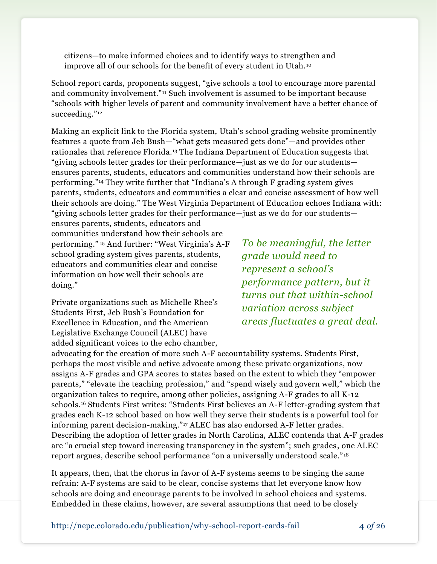citizens—to make informed choices and to identify ways to strengthen and improve all of our schools for the benefit of every student in Utah. <sup>10</sup>

School report cards, proponents suggest, "give schools a tool to encourage more parental and community involvement."<sup>11</sup> Such involvement is assumed to be important because "schools with higher levels of parent and community involvement have a better chance of succeeding."<sup>12</sup>

Making an explicit link to the Florida system, Utah's school grading website prominently features a quote from Jeb Bush—"what gets measured gets done"—and provides other rationales that reference Florida.<sup>13</sup> The Indiana Department of Education suggests that "giving schools letter grades for their performance—just as we do for our students ensures parents, students, educators and communities understand how their schools are performing."<sup>14</sup> They write further that "Indiana's A through F grading system gives parents, students, educators and communities a clear and concise assessment of how well their schools are doing." The West Virginia Department of Education echoes Indiana with: "giving schools letter grades for their performance—just as we do for our students—

ensures parents, students, educators and communities understand how their schools are performing." <sup>15</sup> And further: "West Virginia's A-F school grading system gives parents, students, educators and communities clear and concise information on how well their schools are doing."

Private organizations such as Michelle Rhee's Students First, Jeb Bush's Foundation for Excellence in Education, and the American Legislative Exchange Council (ALEC) have added significant voices to the echo chamber,

*To be meaningful, the letter grade would need to represent a school's performance pattern, but it turns out that within-school variation across subject areas fluctuates a great deal.* 

advocating for the creation of more such A-F accountability systems. Students First, perhaps the most visible and active advocate among these private organizations, now assigns A-F grades and GPA scores to states based on the extent to which they "empower parents," "elevate the teaching profession," and "spend wisely and govern well," which the organization takes to require, among other policies, assigning A-F grades to all K-12 schools.<sup>16</sup> Students First writes: "Students First believes an A-F letter-grading system that grades each K-12 school based on how well they serve their students is a powerful tool for informing parent decision-making."<sup>17</sup> ALEC has also endorsed A-F letter grades. Describing the adoption of letter grades in North Carolina, ALEC contends that A-F grades are "a crucial step toward increasing transparency in the system"; such grades, one ALEC report argues, describe school performance "on a universally understood scale." <sup>18</sup>

It appears, then, that the chorus in favor of A-F systems seems to be singing the same refrain: A-F systems are said to be clear, concise systems that let everyone know how schools are doing and encourage parents to be involved in school choices and systems. Embedded in these claims, however, are several assumptions that need to be closely

http://nepc.colorado.edu/publication/why-school-report-cards-fail **4** *of* 26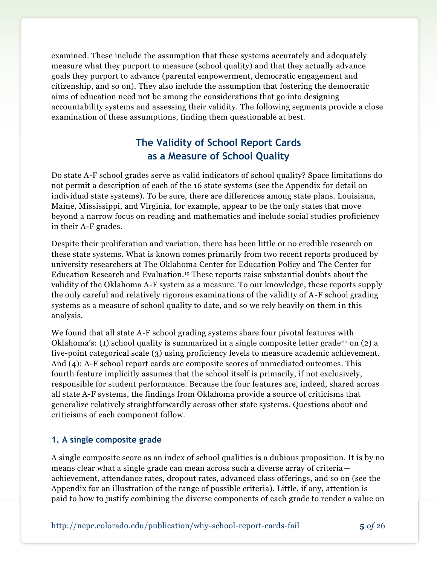examined. These include the assumption that these systems accurately and adequately measure what they purport to measure (school quality) and that they actually advance goals they purport to advance (parental empowerment, democratic engagement and citizenship, and so on). They also include the assumption that fostering the democratic aims of education need not be among the considerations that go into designing accountability systems and assessing their validity. The following segments provide a close examination of these assumptions, finding them questionable at best.

## **The Validity of School Report Cards as a Measure of School Quality**

Do state A-F school grades serve as valid indicators of school quality? Space limitations do not permit a description of each of the 16 state systems (see the Appendix for detail on individual state systems). To be sure, there are differences among state plans. Louisiana, Maine, Mississippi, and Virginia, for example, appear to be the only states that move beyond a narrow focus on reading and mathematics and include social studies proficiency in their A-F grades.

Despite their proliferation and variation, there has been little or no credible research on these state systems. What is known comes primarily from two recent reports produced by university researchers at The Oklahoma Center for Education Policy and The Center for Education Research and Evaluation.<sup>19</sup> These reports raise substantial doubts about the validity of the Oklahoma A-F system as a measure. To our knowledge, these reports supply the only careful and relatively rigorous examinations of the validity of A-F school grading systems as a measure of school quality to date, and so we rely heavily on them in this analysis.

We found that all state A-F school grading systems share four pivotal features with Oklahoma's: (1) school quality is summarized in a single composite letter grade<sup>20</sup> on (2) a five-point categorical scale (3) using proficiency levels to measure academic achievement. And (4): A-F school report cards are composite scores of unmediated outcomes. This fourth feature implicitly assumes that the school itself is primarily, if not exclusively, responsible for student performance. Because the four features are, indeed, shared across all state A-F systems, the findings from Oklahoma provide a source of criticisms that generalize relatively straightforwardly across other state systems. Questions about and criticisms of each component follow.

#### **1. A single composite grade**

A single composite score as an index of school qualities is a dubious proposition. It is by no means clear what a single grade can mean across such a diverse array of criteria achievement, attendance rates, dropout rates, advanced class offerings, and so on (see the Appendix for an illustration of the range of possible criteria). Little, if any, attention is paid to how to justify combining the diverse components of each grade to render a value on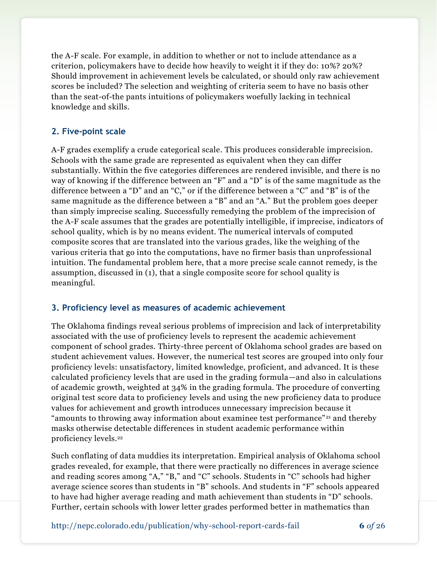the A-F scale. For example, in addition to whether or not to include attendance as a criterion, policymakers have to decide how heavily to weight it if they do: 10%? 20%? Should improvement in achievement levels be calculated, or should only raw achievement scores be included? The selection and weighting of criteria seem to have no basis other than the seat-of-the pants intuitions of policymakers woefully lacking in technical knowledge and skills.

### **2. Five-point scale**

A-F grades exemplify a crude categorical scale. This produces considerable imprecision. Schools with the same grade are represented as equivalent when they can differ substantially. Within the five categories differences are rendered invisible, and there is no way of knowing if the difference between an "F" and a "D" is of the same magnitude as the difference between a "D" and an "C," or if the difference between a "C" and "B" is of the same magnitude as the difference between a "B" and an "A." But the problem goes deeper than simply imprecise scaling. Successfully remedying the problem of the imprecision of the A-F scale assumes that the grades are potentially intelligible, if imprecise, indicators of school quality, which is by no means evident. The numerical intervals of computed composite scores that are translated into the various grades, like the weighing of the various criteria that go into the computations, have no firmer basis than unprofessional intuition. The fundamental problem here, that a more precise scale cannot remedy, is the assumption, discussed in (1), that a single composite score for school quality is meaningful.

### **3. Proficiency level as measures of academic achievement**

The Oklahoma findings reveal serious problems of imprecision and lack of interpretability associated with the use of proficiency levels to represent the academic achievement component of school grades. Thirty-three percent of Oklahoma school grades are based on student achievement values. However, the numerical test scores are grouped into only four proficiency levels: unsatisfactory, limited knowledge, proficient, and advanced. It is these calculated proficiency levels that are used in the grading formula—and also in calculations of academic growth, weighted at 34% in the grading formula. The procedure of converting original test score data to proficiency levels and using the new proficiency data to produce values for achievement and growth introduces unnecessary imprecision because it "amounts to throwing away information about examinee test performance"<sup>21</sup> and thereby masks otherwise detectable differences in student academic performance within proficiency levels.<sup>22</sup>

Such conflating of data muddies its interpretation. Empirical analysis of Oklahoma school grades revealed, for example, that there were practically no differences in average science and reading scores among "A," "B," and "C" schools. Students in "C" schools had higher average science scores than students in "B" schools. And students in "F" schools appeared to have had higher average reading and math achievement than students in "D" schools. Further, certain schools with lower letter grades performed better in mathematics than

http://nepc.colorado.edu/publication/why-school-report-cards-fail **6** *of* 26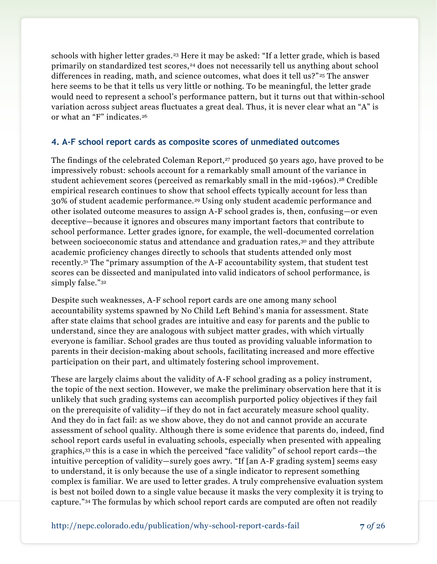schools with higher letter grades.<sup>23</sup> Here it may be asked: "If a letter grade, which is based primarily on standardized test scores,<sup>24</sup> does not necessarily tell us anything about school differences in reading, math, and science outcomes, what does it tell us?" <sup>25</sup> The answer here seems to be that it tells us very little or nothing. To be meaningful, the letter grade would need to represent a school's performance pattern, but it turns out that within-school variation across subject areas fluctuates a great deal. Thus, it is never clear what an "A" is or what an "F" indicates.<sup>26</sup>

#### **4. A-F school report cards as composite scores of unmediated outcomes**

The findings of the celebrated Coleman Report,<sup>27</sup> produced 50 years ago, have proved to be impressively robust: schools account for a remarkably small amount of the variance in student achievement scores (perceived as remarkably small in the mid-1960s).<sup>28</sup> Credible empirical research continues to show that school effects typically account for less than 30% of student academic performance.<sup>29</sup> Using only student academic performance and other isolated outcome measures to assign A-F school grades is, then, confusing—or even deceptive—because it ignores and obscures many important factors that contribute to school performance. Letter grades ignore, for example, the well-documented correlation between socioeconomic status and attendance and graduation rates,<sup>30</sup> and they attribute academic proficiency changes directly to schools that students attended only most recently.<sup>31</sup> The "primary assumption of the A-F accountability system, that student test scores can be dissected and manipulated into valid indicators of school performance, is simply false."<sup>32</sup>

Despite such weaknesses, A-F school report cards are one among many school accountability systems spawned by No Child Left Behind's mania for assessment. State after state claims that school grades are intuitive and easy for parents and the public to understand, since they are analogous with subject matter grades, with which virtually everyone is familiar. School grades are thus touted as providing valuable information to parents in their decision-making about schools, facilitating increased and more effective participation on their part, and ultimately fostering school improvement.

These are largely claims about the validity of A-F school grading as a policy instrument, the topic of the next section. However, we make the preliminary observation here that it is unlikely that such grading systems can accomplish purported policy objectives if they fail on the prerequisite of validity—if they do not in fact accurately measure school quality. And they do in fact fail: as we show above, they do not and cannot provide an accurate assessment of school quality. Although there is some evidence that parents do, indeed, find school report cards useful in evaluating schools, especially when presented with appealing graphics,<sup>33</sup> this is a case in which the perceived "face validity" of school report cards—the intuitive perception of validity—surely goes awry. "If [an A-F grading system] seems easy to understand, it is only because the use of a single indicator to represent something complex is familiar. We are used to letter grades. A truly comprehensive evaluation system is best not boiled down to a single value because it masks the very complexity it is trying to capture."<sup>34</sup> The formulas by which school report cards are computed are often not readily

http://nepc.colorado.edu/publication/why-school-report-cards-fail **7** *of* 26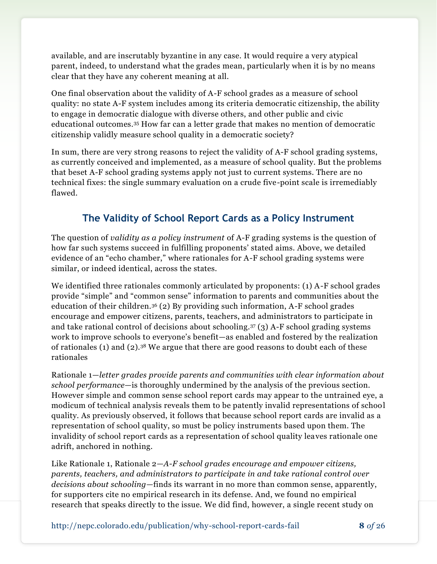available, and are inscrutably byzantine in any case. It would require a very atypical parent, indeed, to understand what the grades mean, particularly when it is by no means clear that they have any coherent meaning at all.

One final observation about the validity of A-F school grades as a measure of school quality: no state A-F system includes among its criteria democratic citizenship, the ability to engage in democratic dialogue with diverse others, and other public and civic educational outcomes.<sup>35</sup> How far can a letter grade that makes no mention of democratic citizenship validly measure school quality in a democratic society?

In sum, there are very strong reasons to reject the validity of A-F school grading systems, as currently conceived and implemented, as a measure of school quality. But the problems that beset A-F school grading systems apply not just to current systems. There are no technical fixes: the single summary evaluation on a crude five-point scale is irremediably flawed.

# **The Validity of School Report Cards as a Policy Instrument**

The question of *validity as a policy instrument* of A-F grading systems is the question of how far such systems succeed in fulfilling proponents' stated aims. Above, we detailed evidence of an "echo chamber," where rationales for A-F school grading systems were similar, or indeed identical, across the states.

We identified three rationales commonly articulated by proponents: (1) A-F school grades provide "simple" and "common sense" information to parents and communities about the education of their children.<sup>36</sup> (2) By providing such information, A-F school grades encourage and empower citizens, parents, teachers, and administrators to participate in and take rational control of decisions about schooling.<sup>37</sup> (3) A-F school grading systems work to improve schools to everyone's benefit—as enabled and fostered by the realization of rationales (1) and (2).<sup>38</sup> We argue that there are good reasons to doubt each of these rationales

Rationale 1—*letter grades provide parents and communities with clear information about school performance*—is thoroughly undermined by the analysis of the previous section. However simple and common sense school report cards may appear to the untrained eye, a modicum of technical analysis reveals them to be patently invalid representations of school quality. As previously observed, it follows that because school report cards are invalid as a representation of school quality, so must be policy instruments based upon them. The invalidity of school report cards as a representation of school quality leaves rationale one adrift, anchored in nothing.

Like Rationale 1, Rationale 2—*A-F school grades encourage and empower citizens, parents, teachers, and administrators to participate in and take rational control over decisions about schooling*—finds its warrant in no more than common sense, apparently, for supporters cite no empirical research in its defense. And, we found no empirical research that speaks directly to the issue. We did find, however, a single recent study on

http://nepc.colorado.edu/publication/why-school-report-cards-fail **8** *of* 26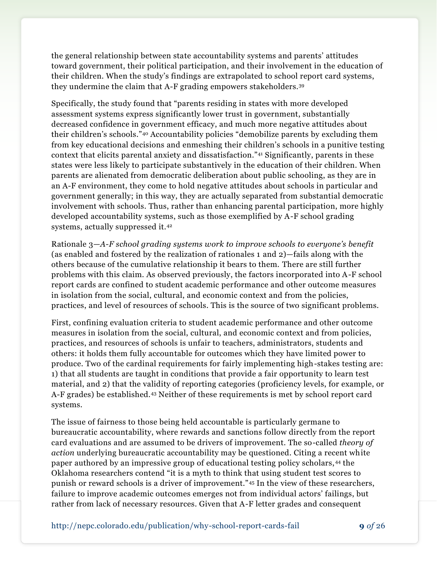the general relationship between state accountability systems and parents' attitudes toward government, their political participation, and their involvement in the education of their children. When the study's findings are extrapolated to school report card systems, they undermine the claim that A-F grading empowers stakeholders.<sup>39</sup>

Specifically, the study found that "parents residing in states with more developed assessment systems express significantly lower trust in government, substantially decreased confidence in government efficacy, and much more negative attitudes about their children's schools."<sup>40</sup> Accountability policies "demobilize parents by excluding them from key educational decisions and enmeshing their children's schools in a punitive testing context that elicits parental anxiety and dissatisfaction."<sup>41</sup> Significantly, parents in these states were less likely to participate substantively in the education of their children. When parents are alienated from democratic deliberation about public schooling, as they are in an A-F environment, they come to hold negative attitudes about schools in particular and government generally; in this way, they are actually separated from substantial democratic involvement with schools. Thus, rather than enhancing parental participation, more highly developed accountability systems, such as those exemplified by A-F school grading systems, actually suppressed it.<sup>42</sup>

Rationale 3—*A-F school grading systems work to improve schools to everyone's benefit* (as enabled and fostered by the realization of rationales 1 and 2)—fails along with the others because of the cumulative relationship it bears to them. There are still further problems with this claim. As observed previously, the factors incorporated into A-F school report cards are confined to student academic performance and other outcome measures in isolation from the social, cultural, and economic context and from the policies, practices, and level of resources of schools. This is the source of two significant problems.

First, confining evaluation criteria to student academic performance and other outcome measures in isolation from the social, cultural, and economic context and from policies, practices, and resources of schools is unfair to teachers, administrators, students and others: it holds them fully accountable for outcomes which they have limited power to produce. Two of the cardinal requirements for fairly implementing high-stakes testing are: 1) that all students are taught in conditions that provide a fair opportunity to learn test material, and 2) that the validity of reporting categories (proficiency levels, for example, or A-F grades) be established.<sup>43</sup> Neither of these requirements is met by school report card systems.

The issue of fairness to those being held accountable is particularly germane to bureaucratic accountability, where rewards and sanctions follow directly from the report card evaluations and are assumed to be drivers of improvement. The so-called *theory of action* underlying bureaucratic accountability may be questioned. Citing a recent white paper authored by an impressive group of educational testing policy scholars, <sup>44</sup> the Oklahoma researchers contend "it is a myth to think that using student test scores to punish or reward schools is a driver of improvement."<sup>45</sup> In the view of these researchers, failure to improve academic outcomes emerges not from individual actors' failings, but rather from lack of necessary resources. Given that A-F letter grades and consequent

http://nepc.colorado.edu/publication/why-school-report-cards-fail **9** *of* 26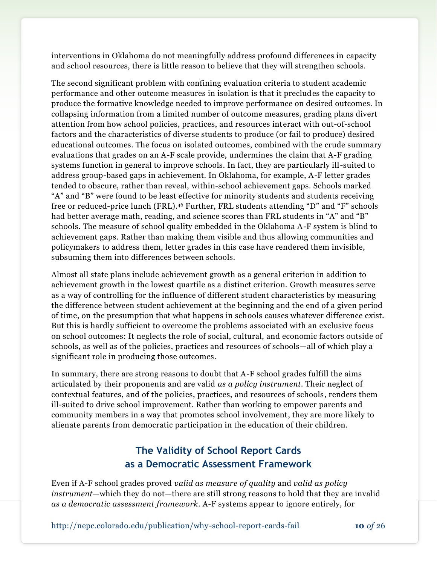interventions in Oklahoma do not meaningfully address profound differences in capacity and school resources, there is little reason to believe that they will strengthen schools.

The second significant problem with confining evaluation criteria to student academic performance and other outcome measures in isolation is that it precludes the capacity to produce the formative knowledge needed to improve performance on desired outcomes. In collapsing information from a limited number of outcome measures, grading plans divert attention from how school policies, practices, and resources interact with out-of-school factors and the characteristics of diverse students to produce (or fail to produce) desired educational outcomes. The focus on isolated outcomes, combined with the crude summary evaluations that grades on an A-F scale provide, undermines the claim that A-F grading systems function in general to improve schools. In fact, they are particularly ill-suited to address group-based gaps in achievement. In Oklahoma, for example, A-F letter grades tended to obscure, rather than reveal, within-school achievement gaps. Schools marked "A" and "B" were found to be least effective for minority students and students receiving free or reduced-price lunch (FRL).<sup>46</sup> Further, FRL students attending "D" and "F" schools had better average math, reading, and science scores than FRL students in "A" and "B" schools. The measure of school quality embedded in the Oklahoma A-F system is blind to achievement gaps. Rather than making them visible and thus allowing communities and policymakers to address them, letter grades in this case have rendered them invisible, subsuming them into differences between schools.

Almost all state plans include achievement growth as a general criterion in addition to achievement growth in the lowest quartile as a distinct criterion. Growth measures serve as a way of controlling for the influence of different student characteristics by measuring the difference between student achievement at the beginning and the end of a given period of time, on the presumption that what happens in schools causes whatever difference exist. But this is hardly sufficient to overcome the problems associated with an exclusive focus on school outcomes: It neglects the role of social, cultural, and economic factors outside of schools, as well as of the policies, practices and resources of schools—all of which play a significant role in producing those outcomes.

In summary, there are strong reasons to doubt that A-F school grades fulfill the aims articulated by their proponents and are valid *as a policy instrument*. Their neglect of contextual features, and of the policies, practices, and resources of schools, renders them ill-suited to drive school improvement. Rather than working to empower parents and community members in a way that promotes school involvement, they are more likely to alienate parents from democratic participation in the education of their children.

## **The Validity of School Report Cards as a Democratic Assessment Framework**

Even if A-F school grades proved *valid as measure of quality* and *valid as policy instrument*—which they do not—there are still strong reasons to hold that they are invalid *as a democratic assessment framework*. A-F systems appear to ignore entirely, for

http://nepc.colorado.edu/publication/why-school-report-cards-fail **10** *of* 26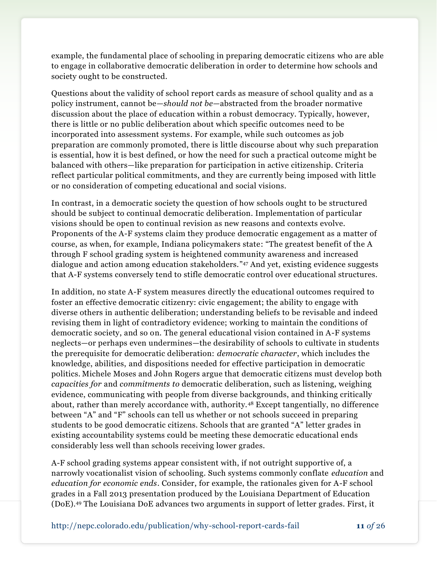example, the fundamental place of schooling in preparing democratic citizens who are able to engage in collaborative democratic deliberation in order to determine how schools and society ought to be constructed.

Questions about the validity of school report cards as measure of school quality and as a policy instrument, cannot be—*should not be*—abstracted from the broader normative discussion about the place of education within a robust democracy. Typically, however, there is little or no public deliberation about which specific outcomes need to be incorporated into assessment systems. For example, while such outcomes as job preparation are commonly promoted, there is little discourse about why such preparation is essential, how it is best defined, or how the need for such a practical outcome might be balanced with others—like preparation for participation in active citizenship. Criteria reflect particular political commitments, and they are currently being imposed with little or no consideration of competing educational and social visions.

In contrast, in a democratic society the question of how schools ought to be structured should be subject to continual democratic deliberation. Implementation of particular visions should be open to continual revision as new reasons and contexts evolve. Proponents of the A-F systems claim they produce democratic engagement as a matter of course, as when, for example, Indiana policymakers state: "The greatest benefit of the A through F school grading system is heightened community awareness and increased dialogue and action among education stakeholders." <sup>47</sup> And yet, existing evidence suggests that A-F systems conversely tend to stifle democratic control over educational structures.

In addition, no state A-F system measures directly the educational outcomes required to foster an effective democratic citizenry: civic engagement; the ability to engage with diverse others in authentic deliberation; understanding beliefs to be revisable and indeed revising them in light of contradictory evidence; working to maintain the conditions of democratic society, and so on. The general educational vision contained in A-F systems neglects—or perhaps even undermines—the desirability of schools to cultivate in students the prerequisite for democratic deliberation: *democratic character*, which includes the knowledge, abilities, and dispositions needed for effective participation in democratic politics. Michele Moses and John Rogers argue that democratic citizens must develop both *capacities for* and *commitments to* democratic deliberation, such as listening, weighing evidence, communicating with people from diverse backgrounds, and thinking critically about, rather than merely accordance with, authority.<sup>48</sup> Except tangentially, no difference between "A" and "F" schools can tell us whether or not schools succeed in preparing students to be good democratic citizens. Schools that are granted "A" letter grades in existing accountability systems could be meeting these democratic educational ends considerably less well than schools receiving lower grades.

A-F school grading systems appear consistent with, if not outright supportive of, a narrowly vocationalist vision of schooling. Such systems commonly conflate *education* and *education for economic ends*. Consider, for example, the rationales given for A-F school grades in a Fall 2013 presentation produced by the Louisiana Department of Education (DoE).<sup>49</sup> The Louisiana DoE advances two arguments in support of letter grades. First, it

http://nepc.colorado.edu/publication/why-school-report-cards-fail **11** *of* 26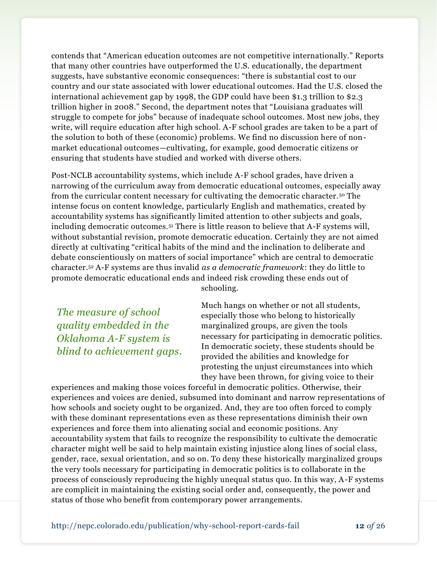contends that "American education outcomes are not competitive internationally." Reports that many other countries have outperformed the U.S. educationally, the department suggests, have substantive economic consequences: "there is substantial cost to our country and our state associated with lower educational outcomes. Had the U.S. closed the international achievement gap by 1998, the GDP could have been \$1.3 trillion to \$2.3 trillion higher in 2008." Second, the department notes that "Louisiana graduates will struggle to compete for jobs" because of inadequate school outcomes. Most new jobs, they write, will require education after high school. A-F school grades are taken to be a part of the solution to both of these (economic) problems. We find no discussion here of nonmarket educational outcomes—cultivating, for example, good democratic citizens or ensuring that students have studied and worked with diverse others.

Post-NCLB accountability systems, which include A-F school grades, have driven a narrowing of the curriculum away from democratic educational outcomes, especially away from the curricular content necessary for cultivating the democratic character.<sup>50</sup> The intense focus on content knowledge, particularly English and mathematics, created by accountability systems has significantly limited attention to other subjects and goals, including democratic outcomes.<sup>51</sup> There is little reason to believe that A-F systems will, without substantial revision, promote democratic education. Certainly they are not aimed directly at cultivating "critical habits of the mind and the inclination to deliberate and debate conscientiously on matters of social importance" which are central to democratic character.<sup>52</sup> A-F systems are thus invalid *as a democratic framework*: they do little to promote democratic educational ends and indeed risk crowding these ends out of schooling.

*The measure of school quality embedded in the Oklahoma A-F system is blind to achievement gaps.* Much hangs on whether or not all students, especially those who belong to historically marginalized groups, are given the tools necessary for participating in democratic politics. In democratic society, these students should be provided the abilities and knowledge for protesting the unjust circumstances into which they have been thrown, for giving voice to their

experiences and making those voices forceful in democratic politics. Otherwise, their experiences and voices are denied, subsumed into dominant and narrow representations of how schools and society ought to be organized. And, they are too often forced to comply with these dominant representations even as these representations diminish their own experiences and force them into alienating social and economic positions. Any accountability system that fails to recognize the responsibility to cultivate the democratic character might well be said to help maintain existing injustice along lines of social class, gender, race, sexual orientation, and so on. To deny these historically marginalized groups the very tools necessary for participating in democratic politics is to collaborate in the process of consciously reproducing the highly unequal status quo. In this way, A-F systems are complicit in maintaining the existing social order and, consequently, the power and status of those who benefit from contemporary power arrangements.

http://nepc.colorado.edu/publication/why-school-report-cards-fail **12** *of* 26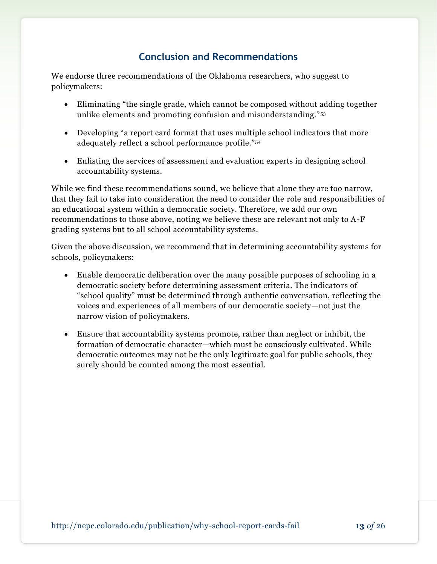## **Conclusion and Recommendations**

We endorse three recommendations of the Oklahoma researchers, who suggest to policymakers:

- Eliminating "the single grade, which cannot be composed without adding together unlike elements and promoting confusion and misunderstanding." <sup>53</sup>
- Developing "a report card format that uses multiple school indicators that more adequately reflect a school performance profile."<sup>54</sup>
- Enlisting the services of assessment and evaluation experts in designing school accountability systems.

While we find these recommendations sound, we believe that alone they are too narrow, that they fail to take into consideration the need to consider the role and responsibilities of an educational system within a democratic society. Therefore, we add our own recommendations to those above, noting we believe these are relevant not only to A-F grading systems but to all school accountability systems.

Given the above discussion, we recommend that in determining accountability systems for schools, policymakers:

- Enable democratic deliberation over the many possible purposes of schooling in a democratic society before determining assessment criteria. The indicators of "school quality" must be determined through authentic conversation, reflecting the voices and experiences of all members of our democratic society—not just the narrow vision of policymakers.
- Ensure that accountability systems promote, rather than neglect or inhibit, the formation of democratic character—which must be consciously cultivated. While democratic outcomes may not be the only legitimate goal for public schools, they surely should be counted among the most essential.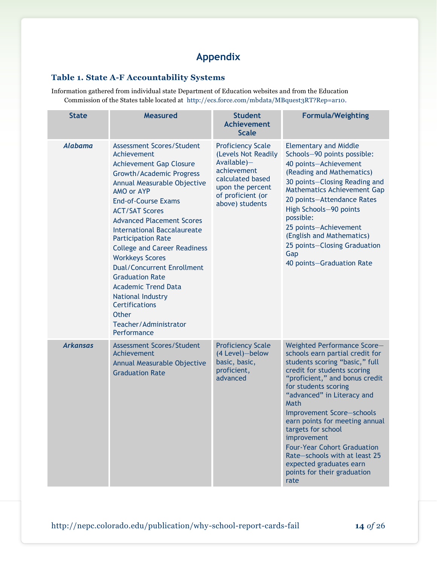# **Appendix**

#### **Table 1. State A-F Accountability Systems**

Information gathered from individual state Department of Education websites and from the Education Commission of the States table located at [http://ecs.force.com/mbdata/MBquest3RT?Rep=ar10.](http://ecs.force.com/mbdata/MBquest3RT?Rep=ar10)

| <b>State</b>    | <b>Measured</b>                                                                                                                                                                                                                                                                                                                                                                                                                                                                                                                                                                                     | <b>Student</b><br><b>Achievement</b><br><b>Scale</b>                                                                                                             | <b>Formula/Weighting</b>                                                                                                                                                                                                                                                                                                                                                                                                                                                     |
|-----------------|-----------------------------------------------------------------------------------------------------------------------------------------------------------------------------------------------------------------------------------------------------------------------------------------------------------------------------------------------------------------------------------------------------------------------------------------------------------------------------------------------------------------------------------------------------------------------------------------------------|------------------------------------------------------------------------------------------------------------------------------------------------------------------|------------------------------------------------------------------------------------------------------------------------------------------------------------------------------------------------------------------------------------------------------------------------------------------------------------------------------------------------------------------------------------------------------------------------------------------------------------------------------|
| <b>Alabama</b>  | Assessment Scores/Student<br>Achievement<br><b>Achievement Gap Closure</b><br><b>Growth/Academic Progress</b><br>Annual Measurable Objective<br>AMO or AYP<br><b>End-of-Course Exams</b><br><b>ACT/SAT Scores</b><br><b>Advanced Placement Scores</b><br><b>International Baccalaureate</b><br><b>Participation Rate</b><br><b>College and Career Readiness</b><br><b>Workkeys Scores</b><br><b>Dual/Concurrent Enrollment</b><br><b>Graduation Rate</b><br><b>Academic Trend Data</b><br><b>National Industry</b><br><b>Certifications</b><br><b>Other</b><br>Teacher/Administrator<br>Performance | <b>Proficiency Scale</b><br>(Levels Not Readily<br>$Available$ )-<br>achievement<br>calculated based<br>upon the percent<br>of proficient (or<br>above) students | <b>Elementary and Middle</b><br>Schools-90 points possible:<br>40 points-Achievement<br>(Reading and Mathematics)<br>30 points-Closing Reading and<br>Mathematics Achievement Gap<br>20 points-Attendance Rates<br>High Schools-90 points<br>possible:<br>25 points-Achievement<br>(English and Mathematics)<br>25 points-Closing Graduation<br>Gap<br>40 points-Graduation Rate                                                                                             |
| <b>Arkansas</b> | <b>Assessment Scores/Student</b><br>Achievement<br>Annual Measurable Objective<br><b>Graduation Rate</b>                                                                                                                                                                                                                                                                                                                                                                                                                                                                                            | <b>Proficiency Scale</b><br>(4 Level)-below<br>basic, basic,<br>proficient,<br>advanced                                                                          | Weighted Performance Score-<br>schools earn partial credit for<br>students scoring "basic," full<br>credit for students scoring<br>"proficient," and bonus credit<br>for students scoring<br>"advanced" in Literacy and<br>Math<br>Improvement Score-schools<br>earn points for meeting annual<br>targets for school<br>improvement<br><b>Four-Year Cohort Graduation</b><br>Rate-schools with at least 25<br>expected graduates earn<br>points for their graduation<br>rate |

http://nepc.colorado.edu/publication/why-school-report-cards-fail **14** *of* 26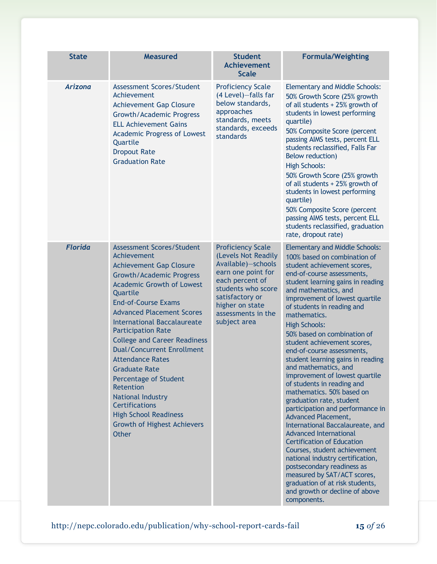| <b>State</b>   | <b>Measured</b>                                                                                                                                                                                                                                                                                                                                                                                                                                                                                                                                                                                                    | <b>Student</b><br><b>Achievement</b><br><b>Scale</b>                                                                                                                                                             | <b>Formula/Weighting</b>                                                                                                                                                                                                                                                                                                                                                                                                                                                                                                                                                                                                                                                                                                                                                                                                                                                                                                                                                            |
|----------------|--------------------------------------------------------------------------------------------------------------------------------------------------------------------------------------------------------------------------------------------------------------------------------------------------------------------------------------------------------------------------------------------------------------------------------------------------------------------------------------------------------------------------------------------------------------------------------------------------------------------|------------------------------------------------------------------------------------------------------------------------------------------------------------------------------------------------------------------|-------------------------------------------------------------------------------------------------------------------------------------------------------------------------------------------------------------------------------------------------------------------------------------------------------------------------------------------------------------------------------------------------------------------------------------------------------------------------------------------------------------------------------------------------------------------------------------------------------------------------------------------------------------------------------------------------------------------------------------------------------------------------------------------------------------------------------------------------------------------------------------------------------------------------------------------------------------------------------------|
| <b>Arizona</b> | <b>Assessment Scores/Student</b><br>Achievement<br><b>Achievement Gap Closure</b><br><b>Growth/Academic Progress</b><br><b>ELL Achievement Gains</b><br><b>Academic Progress of Lowest</b><br>Quartile<br><b>Dropout Rate</b><br><b>Graduation Rate</b>                                                                                                                                                                                                                                                                                                                                                            | <b>Proficiency Scale</b><br>(4 Level)-falls far<br>below standards,<br>approaches<br>standards, meets<br>standards, exceeds<br>standards                                                                         | <b>Elementary and Middle Schools:</b><br>50% Growth Score (25% growth<br>of all students + 25% growth of<br>students in lowest performing<br>quartile)<br>50% Composite Score (percent<br>passing AIMS tests, percent ELL<br>students reclassified, Falls Far<br><b>Below reduction)</b><br><b>High Schools:</b><br>50% Growth Score (25% growth<br>of all students + 25% growth of<br>students in lowest performing<br>quartile)<br>50% Composite Score (percent<br>passing AIMS tests, percent ELL<br>students reclassified, graduation<br>rate, dropout rate)                                                                                                                                                                                                                                                                                                                                                                                                                    |
| <b>Florida</b> | <b>Assessment Scores/Student</b><br>Achievement<br><b>Achievement Gap Closure</b><br><b>Growth/Academic Progress</b><br><b>Academic Growth of Lowest</b><br>Quartile<br><b>End-of-Course Exams</b><br><b>Advanced Placement Scores</b><br><b>International Baccalaureate</b><br><b>Participation Rate</b><br><b>College and Career Readiness</b><br><b>Dual/Concurrent Enrollment</b><br><b>Attendance Rates</b><br><b>Graduate Rate</b><br>Percentage of Student<br>Retention<br>National Industry<br><b>Certifications</b><br><b>High School Readiness</b><br><b>Growth of Highest Achievers</b><br><b>Other</b> | <b>Proficiency Scale</b><br>(Levels Not Readily<br>Available)-schools<br>earn one point for<br>each percent of<br>students who score<br>satisfactory or<br>higher on state<br>assessments in the<br>subject area | <b>Elementary and Middle Schools:</b><br>100% based on combination of<br>student achievement scores,<br>end-of-course assessments,<br>student learning gains in reading<br>and mathematics, and<br>improvement of lowest quartile<br>of students in reading and<br>mathematics.<br><b>High Schools:</b><br>50% based on combination of<br>student achievement scores,<br>end-of-course assessments,<br>student learning gains in reading<br>and mathematics, and<br>improvement of lowest quartile<br>of students in reading and<br>mathematics. 50% based on<br>graduation rate, student<br>participation and performance in<br>Advanced Placement,<br>International Baccalaureate, and<br><b>Advanced International</b><br><b>Certification of Education</b><br>Courses, student achievement<br>national industry certification,<br>postsecondary readiness as<br>measured by SAT/ACT scores,<br>graduation of at risk students,<br>and growth or decline of above<br>components. |

http://nepc.colorado.edu/publication/why-school-report-cards-fail **15** *of* 26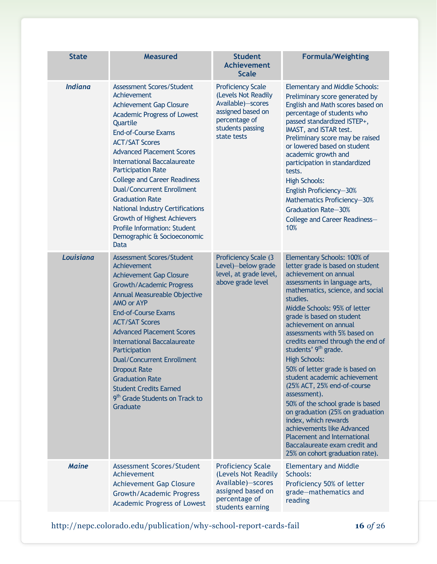| <b>State</b>   | <b>Measured</b>                                                                                                                                                                                                                                                                                                                                                                                                                                                                                                                                                 | <b>Student</b><br><b>Achievement</b><br><b>Scale</b>                                                                                          | <b>Formula/Weighting</b>                                                                                                                                                                                                                                                                                                                                                                                                                                                                                                                                                                                                                                                                                                                                    |
|----------------|-----------------------------------------------------------------------------------------------------------------------------------------------------------------------------------------------------------------------------------------------------------------------------------------------------------------------------------------------------------------------------------------------------------------------------------------------------------------------------------------------------------------------------------------------------------------|-----------------------------------------------------------------------------------------------------------------------------------------------|-------------------------------------------------------------------------------------------------------------------------------------------------------------------------------------------------------------------------------------------------------------------------------------------------------------------------------------------------------------------------------------------------------------------------------------------------------------------------------------------------------------------------------------------------------------------------------------------------------------------------------------------------------------------------------------------------------------------------------------------------------------|
| <b>Indiana</b> | Assessment Scores/Student<br>Achievement<br><b>Achievement Gap Closure</b><br><b>Academic Progress of Lowest</b><br>Quartile<br><b>End-of-Course Exams</b><br><b>ACT/SAT Scores</b><br><b>Advanced Placement Scores</b><br><b>International Baccalaureate</b><br><b>Participation Rate</b><br><b>College and Career Readiness</b><br><b>Dual/Concurrent Enrollment</b><br><b>Graduation Rate</b><br><b>National Industry Certifications</b><br><b>Growth of Highest Achievers</b><br><b>Profile Information: Student</b><br>Demographic & Socioeconomic<br>Data | <b>Proficiency Scale</b><br>(Levels Not Readily<br>Available)-scores<br>assigned based on<br>percentage of<br>students passing<br>state tests | <b>Elementary and Middle Schools:</b><br>Preliminary score generated by<br>English and Math scores based on<br>percentage of students who<br>passed standardized ISTEP+,<br>IMAST, and ISTAR test.<br>Preliminary score may be raised<br>or lowered based on student<br>academic growth and<br>participation in standardized<br>tests.<br><b>High Schools:</b><br>English Proficiency-30%<br>Mathematics Proficiency-30%<br><b>Graduation Rate-30%</b><br>College and Career Readiness-<br>10%                                                                                                                                                                                                                                                              |
| Louisiana      | <b>Assessment Scores/Student</b><br>Achievement<br><b>Achievement Gap Closure</b><br><b>Growth/Academic Progress</b><br>Annual Measureable Objective<br>AMO or AYP<br><b>End-of-Course Exams</b><br><b>ACT/SAT Scores</b><br><b>Advanced Placement Scores</b><br><b>International Baccalaureate</b><br>Participation<br><b>Dual/Concurrent Enrollment</b><br><b>Dropout Rate</b><br><b>Graduation Rate</b><br><b>Student Credits Earned</b><br>9 <sup>th</sup> Grade Students on Track to<br>Graduate                                                           | Proficiency Scale (3<br>Level)-below grade<br>level, at grade level,<br>above grade level                                                     | Elementary Schools: 100% of<br>letter grade is based on student<br>achievement on annual<br>assessments in language arts,<br>mathematics, science, and social<br>studies.<br>Middle Schools: 95% of letter<br>grade is based on student<br>achievement on annual<br>assessments with 5% based on<br>credits earned through the end of<br>students' 9 <sup>th</sup> grade.<br><b>High Schools:</b><br>50% of letter grade is based on<br>student academic achievement<br>(25% ACT, 25% end-of-course<br>assessment).<br>50% of the school grade is based<br>on graduation (25% on graduation<br>index, which rewards<br>achievements like Advanced<br><b>Placement and International</b><br>Baccalaureate exam credit and<br>25% on cohort graduation rate). |
| <b>Maine</b>   | Assessment Scores/Student<br>Achievement<br><b>Achievement Gap Closure</b><br><b>Growth/Academic Progress</b><br><b>Academic Progress of Lowest</b>                                                                                                                                                                                                                                                                                                                                                                                                             | <b>Proficiency Scale</b><br>(Levels Not Readily<br>Available)-scores<br>assigned based on<br>percentage of<br>students earning                | <b>Elementary and Middle</b><br>Schools:<br>Proficiency 50% of letter<br>grade-mathematics and<br>reading                                                                                                                                                                                                                                                                                                                                                                                                                                                                                                                                                                                                                                                   |

http://nepc.colorado.edu/publication/why-school-report-cards-fail **16** *of* 26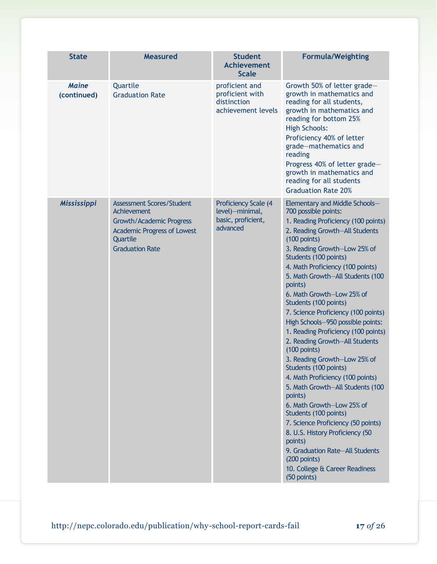| <b>State</b>                | <b>Measured</b>                                                                                                                                         | <b>Student</b><br><b>Achievement</b><br><b>Scale</b>                             | <b>Formula/Weighting</b>                                                                                                                                                                                                                                                                                                                                                                                                                                                                                                                                                                                                                                                                                                                                                                                                                                                                                             |
|-----------------------------|---------------------------------------------------------------------------------------------------------------------------------------------------------|----------------------------------------------------------------------------------|----------------------------------------------------------------------------------------------------------------------------------------------------------------------------------------------------------------------------------------------------------------------------------------------------------------------------------------------------------------------------------------------------------------------------------------------------------------------------------------------------------------------------------------------------------------------------------------------------------------------------------------------------------------------------------------------------------------------------------------------------------------------------------------------------------------------------------------------------------------------------------------------------------------------|
| <b>Maine</b><br>(continued) | Quartile<br><b>Graduation Rate</b>                                                                                                                      | proficient and<br>proficient with<br>distinction<br>achievement levels           | Growth 50% of letter grade-<br>growth in mathematics and<br>reading for all students,<br>growth in mathematics and<br>reading for bottom 25%<br><b>High Schools:</b><br>Proficiency 40% of letter<br>grade-mathematics and<br>reading<br>Progress 40% of letter grade-<br>growth in mathematics and<br>reading for all students<br><b>Graduation Rate 20%</b>                                                                                                                                                                                                                                                                                                                                                                                                                                                                                                                                                        |
| Mississippi                 | <b>Assessment Scores/Student</b><br>Achievement<br>Growth/Academic Progress<br><b>Academic Progress of Lowest</b><br>Quartile<br><b>Graduation Rate</b> | <b>Proficiency Scale (4</b><br>level)-minimal,<br>basic, proficient,<br>advanced | Elementary and Middle Schools-<br>700 possible points:<br>1. Reading Proficiency (100 points)<br>2. Reading Growth-All Students<br>$(100$ points)<br>3. Reading Growth-Low 25% of<br>Students (100 points)<br>4. Math Proficiency (100 points)<br>5. Math Growth-All Students (100<br>points)<br>6. Math Growth-Low 25% of<br>Students (100 points)<br>7. Science Proficiency (100 points)<br>High Schools-950 possible points:<br>1. Reading Proficiency (100 points)<br>2. Reading Growth-All Students<br>$(100$ points)<br>3. Reading Growth-Low 25% of<br>Students (100 points)<br>4. Math Proficiency (100 points)<br>5. Math Growth-All Students (100<br>points)<br>6. Math Growth-Low 25% of<br>Students (100 points)<br>7. Science Proficiency (50 points)<br>8. U.S. History Proficiency (50<br>points)<br>9. Graduation Rate-All Students<br>(200 points)<br>10. College & Career Readiness<br>(50 points) |

http://nepc.colorado.edu/publication/why-school-report-cards-fail **17** *of* 26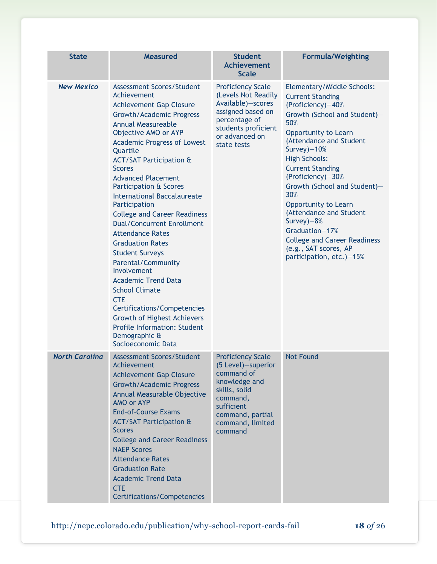| <b>State</b>          | <b>Measured</b>                                                                                                                                                                                                                                                                                                                                                                                                                                                                                                                                                                                                                                                                                                                                                                                                           | <b>Student</b><br><b>Achievement</b><br><b>Scale</b>                                                                                                                        | <b>Formula/Weighting</b>                                                                                                                                                                                                                                                                                                                                                                                                                                                             |
|-----------------------|---------------------------------------------------------------------------------------------------------------------------------------------------------------------------------------------------------------------------------------------------------------------------------------------------------------------------------------------------------------------------------------------------------------------------------------------------------------------------------------------------------------------------------------------------------------------------------------------------------------------------------------------------------------------------------------------------------------------------------------------------------------------------------------------------------------------------|-----------------------------------------------------------------------------------------------------------------------------------------------------------------------------|--------------------------------------------------------------------------------------------------------------------------------------------------------------------------------------------------------------------------------------------------------------------------------------------------------------------------------------------------------------------------------------------------------------------------------------------------------------------------------------|
| <b>New Mexico</b>     | Assessment Scores/Student<br>Achievement<br><b>Achievement Gap Closure</b><br><b>Growth/Academic Progress</b><br><b>Annual Measureable</b><br>Objective AMO or AYP<br><b>Academic Progress of Lowest</b><br>Quartile<br><b>ACT/SAT Participation &amp;</b><br><b>Scores</b><br><b>Advanced Placement</b><br>Participation & Scores<br><b>International Baccalaureate</b><br>Participation<br><b>College and Career Readiness</b><br><b>Dual/Concurrent Enrollment</b><br><b>Attendance Rates</b><br><b>Graduation Rates</b><br><b>Student Surveys</b><br>Parental/Community<br>Involvement<br><b>Academic Trend Data</b><br><b>School Climate</b><br><b>CTE</b><br><b>Certifications/Competencies</b><br><b>Growth of Highest Achievers</b><br><b>Profile Information: Student</b><br>Demographic &<br>Socioeconomic Data | <b>Proficiency Scale</b><br>(Levels Not Readily<br>Available)-scores<br>assigned based on<br>percentage of<br>students proficient<br>or advanced on<br>state tests          | Elementary/Middle Schools:<br><b>Current Standing</b><br>(Proficiency)-40%<br>Growth (School and Student)-<br>50%<br>Opportunity to Learn<br>(Attendance and Student<br>Survey)-10%<br><b>High Schools:</b><br><b>Current Standing</b><br>(Proficiency)-30%<br>Growth (School and Student)-<br>30%<br>Opportunity to Learn<br>(Attendance and Student<br>Survey) $-8%$<br>Graduation-17%<br><b>College and Career Readiness</b><br>(e.g., SAT scores, AP<br>participation, etc.)-15% |
| <b>North Carolina</b> | <b>Assessment Scores/Student</b><br>Achievement<br><b>Achievement Gap Closure</b><br><b>Growth/Academic Progress</b><br>Annual Measurable Objective<br>AMO or AYP<br><b>End-of-Course Exams</b><br><b>ACT/SAT Participation &amp;</b><br><b>Scores</b><br><b>College and Career Readiness</b><br><b>NAEP Scores</b><br><b>Attendance Rates</b><br><b>Graduation Rate</b><br><b>Academic Trend Data</b><br><b>CTE</b><br><b>Certifications/Competencies</b>                                                                                                                                                                                                                                                                                                                                                                | <b>Proficiency Scale</b><br>(5 Level)-superior<br>command of<br>knowledge and<br>skills, solid<br>command,<br>sufficient<br>command, partial<br>command, limited<br>command | <b>Not Found</b>                                                                                                                                                                                                                                                                                                                                                                                                                                                                     |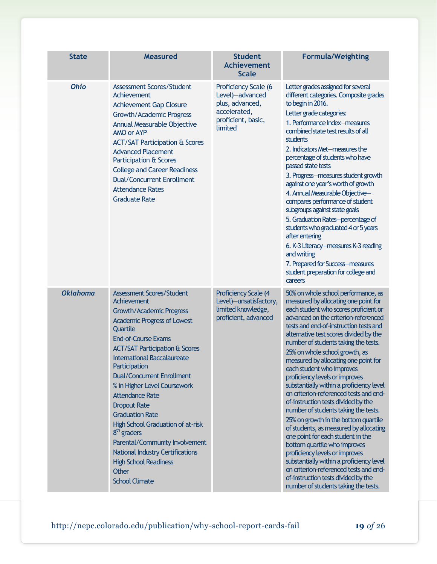| <b>State</b>    | <b>Measured</b>                                                                                                                                                                                                                                                                                                                                                                                                                                                                                                                                                                                                                    | <b>Student</b><br><b>Achievement</b><br><b>Scale</b>                                                        | <b>Formula/Weighting</b>                                                                                                                                                                                                                                                                                                                                                                                                                                                                                                                                                                                                                                                                                                                                                                                                                                                                                                                                             |
|-----------------|------------------------------------------------------------------------------------------------------------------------------------------------------------------------------------------------------------------------------------------------------------------------------------------------------------------------------------------------------------------------------------------------------------------------------------------------------------------------------------------------------------------------------------------------------------------------------------------------------------------------------------|-------------------------------------------------------------------------------------------------------------|----------------------------------------------------------------------------------------------------------------------------------------------------------------------------------------------------------------------------------------------------------------------------------------------------------------------------------------------------------------------------------------------------------------------------------------------------------------------------------------------------------------------------------------------------------------------------------------------------------------------------------------------------------------------------------------------------------------------------------------------------------------------------------------------------------------------------------------------------------------------------------------------------------------------------------------------------------------------|
| <b>Ohio</b>     | <b>Assessment Scores/Student</b><br>Achievement<br><b>Achievement Gap Closure</b><br>Growth/Academic Progress<br>Annual Measurable Objective<br>AMO or AYP<br><b>ACT/SAT Participation &amp; Scores</b><br><b>Advanced Placement</b><br>Participation & Scores<br><b>College and Career Readiness</b><br><b>Dual/Concurrent Enrollment</b><br><b>Attendance Rates</b><br><b>Graduate Rate</b>                                                                                                                                                                                                                                      | Proficiency Scale (6<br>Level)-advanced<br>plus, advanced,<br>accelerated,<br>proficient, basic,<br>limited | Letter grades assigned for several<br>different categories. Composite grades<br>to begin in 2016.<br>Letter grade categories:<br>1. Performance Index-measures<br>combined state test results of all<br>students<br>2. Indicators Met-measures the<br>percentage of students who have<br>passed state tests<br>3. Progress-measures student growth<br>against one year's worth of growth<br>4. Annual Measurable Objective-<br>compares performance of student<br>subgroups against state goals<br>5. Graduation Rates-percentage of<br>students who graduated 4 or 5 years<br>after entering<br>6. K-3 Literacy-measures K-3 reading<br>and writing<br>7. Prepared for Success-measures<br>student preparation for college and<br>careers                                                                                                                                                                                                                           |
| <b>Oklahoma</b> | <b>Assessment Scores/Student</b><br><b>Achievement</b><br>Growth/Academic Progress<br><b>Academic Progress of Lowest</b><br>Quartile<br><b>End-of-Course Exams</b><br><b>ACT/SAT Participation &amp; Scores</b><br><b>International Baccalaureate</b><br>Participation<br><b>Dual/Concurrent Enrollment</b><br>% in Higher Level Coursework<br><b>Attendance Rate</b><br><b>Dropout Rate</b><br><b>Graduation Rate</b><br>High School Graduation of at-risk<br>$8th$ graders<br>Parental/Community Involvement<br><b>National Industry Certifications</b><br><b>High School Readiness</b><br><b>Other</b><br><b>School Climate</b> | Proficiency Scale (4<br>Level)-unsatisfactory,<br>limited knowledge,<br>proficient, advanced                | 50% on whole school performance, as<br>measured by allocating one point for<br>each student who scores proficient or<br>advanced on the criterion-referenced<br>tests and end-of-instruction tests and<br>alternative test scores divided by the<br>number of students taking the tests.<br>25% on whole school growth, as<br>measured by allocating one point for<br>each student who improves<br>proficiency levels or improves<br>substantially within a proficiency level<br>on criterion-referenced tests and end-<br>of-instruction tests divided by the<br>number of students taking the tests.<br>25% on growth in the bottom quartile<br>of students, as measured by allocating<br>one point for each student in the<br>bottom quartile who improves<br>proficiency levels or improves<br>substantially within a proficiency level<br>on criterion-referenced tests and end-<br>of-instruction tests divided by the<br>number of students taking the tests. |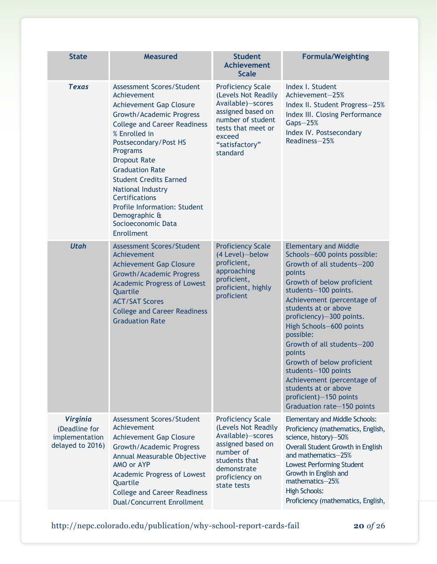| <b>State</b>                                                           | <b>Measured</b>                                                                                                                                                                                                                                                                                                                                                                                                                               | <b>Student</b><br><b>Achievement</b><br><b>Scale</b>                                                                                                                         | <b>Formula/Weighting</b>                                                                                                                                                                                                                                                                                                                                                                                                                                                                        |
|------------------------------------------------------------------------|-----------------------------------------------------------------------------------------------------------------------------------------------------------------------------------------------------------------------------------------------------------------------------------------------------------------------------------------------------------------------------------------------------------------------------------------------|------------------------------------------------------------------------------------------------------------------------------------------------------------------------------|-------------------------------------------------------------------------------------------------------------------------------------------------------------------------------------------------------------------------------------------------------------------------------------------------------------------------------------------------------------------------------------------------------------------------------------------------------------------------------------------------|
| <b>Texas</b>                                                           | Assessment Scores/Student<br>Achievement<br><b>Achievement Gap Closure</b><br><b>Growth/Academic Progress</b><br><b>College and Career Readiness</b><br>% Enrolled in<br>Postsecondary/Post HS<br>Programs<br><b>Dropout Rate</b><br><b>Graduation Rate</b><br><b>Student Credits Earned</b><br>National Industry<br><b>Certifications</b><br><b>Profile Information: Student</b><br>Demographic &<br>Socioeconomic Data<br><b>Enrollment</b> | <b>Proficiency Scale</b><br>(Levels Not Readily<br>Available)-scores<br>assigned based on<br>number of student<br>tests that meet or<br>exceed<br>"satisfactory"<br>standard | Index I. Student<br>Achievement-25%<br>Index II. Student Progress-25%<br><b>Index III. Closing Performance</b><br>$Gaps - 25%$<br>Index IV. Postsecondary<br>Readiness-25%                                                                                                                                                                                                                                                                                                                      |
| <b>Utah</b>                                                            | <b>Assessment Scores/Student</b><br>Achievement<br><b>Achievement Gap Closure</b><br><b>Growth/Academic Progress</b><br><b>Academic Progress of Lowest</b><br>Quartile<br><b>ACT/SAT Scores</b><br><b>College and Career Readiness</b><br><b>Graduation Rate</b>                                                                                                                                                                              | <b>Proficiency Scale</b><br>(4 Level)-below<br>proficient,<br>approaching<br>proficient,<br>proficient, highly<br>proficient                                                 | <b>Elementary and Middle</b><br>Schools-600 points possible:<br>Growth of all students-200<br>points<br>Growth of below proficient<br>students-100 points.<br>Achievement (percentage of<br>students at or above<br>proficiency)-300 points.<br>High Schools-600 points<br>possible:<br>Growth of all students-200<br>points<br>Growth of below proficient<br>students-100 points<br>Achievement (percentage of<br>students at or above<br>proficient)-150 points<br>Graduation rate-150 points |
| <b>Virginia</b><br>(Deadline for<br>implementation<br>delayed to 2016) | <b>Assessment Scores/Student</b><br>Achievement<br><b>Achievement Gap Closure</b><br><b>Growth/Academic Progress</b><br>Annual Measurable Objective<br>AMO or AYP<br><b>Academic Progress of Lowest</b><br>Quartile<br><b>College and Career Readiness</b><br><b>Dual/Concurrent Enrollment</b>                                                                                                                                               | <b>Proficiency Scale</b><br>(Levels Not Readily<br>Available)-scores<br>assigned based on<br>number of<br>students that<br>demonstrate<br>proficiency on<br>state tests      | <b>Elementary and Middle Schools:</b><br>Proficiency (mathematics, English,<br>science, history)-50%<br>Overall Student Growth in English<br>and mathematics-25%<br><b>Lowest Performing Student</b><br>Growth in English and<br>mathematics-25%<br><b>High Schools:</b><br>Proficiency (mathematics, English,                                                                                                                                                                                  |

http://nepc.colorado.edu/publication/why-school-report-cards-fail **20** *of* 26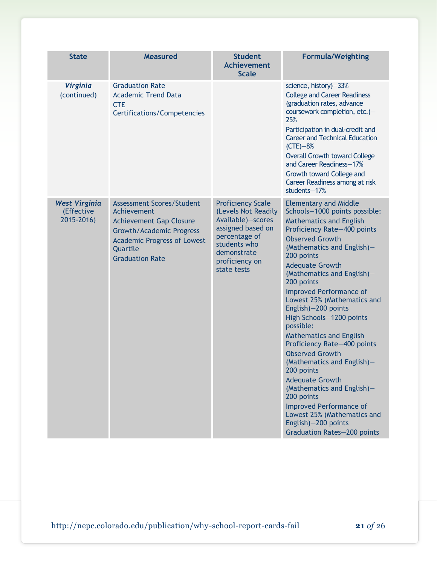| <b>State</b>                                     | <b>Measured</b>                                                                                                                                                                                  | <b>Student</b><br><b>Achievement</b><br><b>Scale</b>                                                                                                                       | <b>Formula/Weighting</b>                                                                                                                                                                                                                                                                                                                                                                                                                                                                                                                                                                                                                                                                                                                               |
|--------------------------------------------------|--------------------------------------------------------------------------------------------------------------------------------------------------------------------------------------------------|----------------------------------------------------------------------------------------------------------------------------------------------------------------------------|--------------------------------------------------------------------------------------------------------------------------------------------------------------------------------------------------------------------------------------------------------------------------------------------------------------------------------------------------------------------------------------------------------------------------------------------------------------------------------------------------------------------------------------------------------------------------------------------------------------------------------------------------------------------------------------------------------------------------------------------------------|
| <b>Virginia</b><br>(continued)                   | <b>Graduation Rate</b><br><b>Academic Trend Data</b><br><b>CTE</b><br><b>Certifications/Competencies</b>                                                                                         |                                                                                                                                                                            | science, history)-33%<br><b>College and Career Readiness</b><br>(graduation rates, advance<br>coursework completion, etc.)-<br>25%<br>Participation in dual-credit and<br><b>Career and Technical Education</b><br>$(CTE) - 8%$<br><b>Overall Growth toward College</b><br>and Career Readiness-17%<br>Growth toward College and<br>Career Readiness among at risk<br>students-17%                                                                                                                                                                                                                                                                                                                                                                     |
| <b>West Virginia</b><br>(Effective<br>2015-2016) | <b>Assessment Scores/Student</b><br>Achievement<br><b>Achievement Gap Closure</b><br><b>Growth/Academic Progress</b><br><b>Academic Progress of Lowest</b><br>Quartile<br><b>Graduation Rate</b> | <b>Proficiency Scale</b><br>(Levels Not Readily<br>Available)-scores<br>assigned based on<br>percentage of<br>students who<br>demonstrate<br>proficiency on<br>state tests | <b>Elementary and Middle</b><br>Schools-1000 points possible:<br><b>Mathematics and English</b><br>Proficiency Rate-400 points<br><b>Observed Growth</b><br>(Mathematics and English)-<br>200 points<br><b>Adequate Growth</b><br>(Mathematics and English)-<br>200 points<br><b>Improved Performance of</b><br>Lowest 25% (Mathematics and<br>English)-200 points<br>High Schools-1200 points<br>possible:<br><b>Mathematics and English</b><br>Proficiency Rate-400 points<br><b>Observed Growth</b><br>(Mathematics and English)-<br>200 points<br><b>Adequate Growth</b><br>(Mathematics and English)-<br>200 points<br><b>Improved Performance of</b><br>Lowest 25% (Mathematics and<br>English)-200 points<br><b>Graduation Rates-200 points</b> |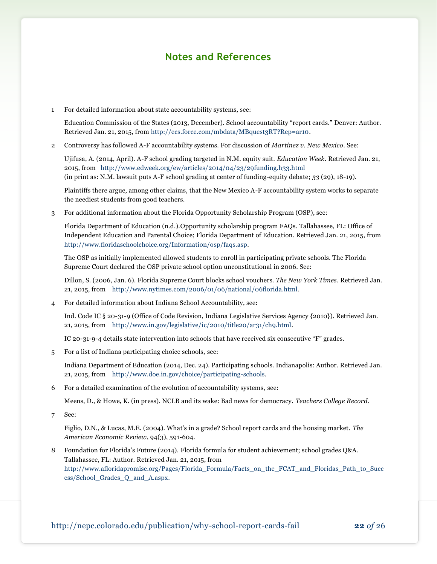### **Notes and References**

1 For detailed information about state accountability systems, see:

Education Commission of the States (2013, December). School accountability "report cards." Denver: Author. Retrieved Jan. 21, 2015, fro[m http://ecs.force.com/mbdata/MBquest3RT?Rep=ar10.](http://ecs.force.com/mbdata/MBquest3RT?Rep=ar10)

2 Controversy has followed A-F accountability systems. For discussion of *Martinez v. New Mexico*. See:

Ujifusa, A. (2014, April). A-F school grading targeted in N.M. equity suit. *Education Week.* Retrieved Jan. 21, 2015, from <http://www.edweek.org/ew/articles/2014/04/23/29funding.h33.html> (in print as: N.M. lawsuit puts A-F school grading at center of funding-equity debate; *33* (29), 18-19).

Plaintiffs there argue, among other claims, that the New Mexico A-F accountability system works to separate the neediest students from good teachers.

3 For additional information about the Florida Opportunity Scholarship Program (OSP), see:

Florida Department of Education (n.d.).Opportunity scholarship program FAQs. Tallahassee, FL: Office of Independent Education and Parental Choice; Florida Department of Education. Retrieved Jan. 21, 2015, from [http://www.floridaschoolchoice.org/Information/osp/faqs.asp.](http://www.floridaschoolchoice.org/Information/osp/faqs.asp)

The OSP as initially implemented allowed students to enroll in participating private schools. The Florida Supreme Court declared the OSP private school option unconstitutional in 2006. See:

Dillon, S. (2006, Jan. 6). Florida Supreme Court blocks school vouchers. *The New York Times*. Retrieved Jan. 21, 2015, from [http://www.nytimes.com/2006/01/06/national/06florida.html.](http://www.nytimes.com/2006/01/06/national/06florida.html)

4 For detailed information about Indiana School Accountability, see:

Ind. Code IC § 20-31-9 (Office of Code Revision, Indiana Legislative Services Agency {2010}). Retrieved Jan. 21, 2015, from [http://www.in.gov/legislative/ic/2010/title20/ar31/ch9.html.](http://www.in.gov/legislative/ic/2010/title20/ar31/ch9.html) 

IC 20-31-9-4 details state intervention into schools that have received six consecutive "F" grades.

5 For a list of Indiana participating choice schools, see:

Indiana Department of Education (2014, Dec. 24). Participating schools*.* Indianapolis: Author. Retrieved Jan. 21, 2015, from [http://www.doe.in.gov/choice/participating-schools.](http://www.doe.in.gov/choice/participating-schools)

6 For a detailed examination of the evolution of accountability systems, see:

Meens, D., & Howe, K. (in press). NCLB and its wake: Bad news for democracy. *Teachers College Record.* 

7 See:

Figlio, D.N., & Lucas, M.E. (2004). What's in a grade? School report cards and the housing market. *The American Economic Review*, 94(3), 591-604.

8 Foundation for Florida's Future (2014). Florida formula for student achievement; school grades Q&A. Tallahassee, FL: Author. Retrieved Jan. 21, 2015, from [http://www.afloridapromise.org/Pages/Florida\\_Formula/Facts\\_on\\_the\\_FCAT\\_and\\_Floridas\\_Path\\_to\\_Succ](http://www.afloridapromise.org/Pages/Florida_Formula/Facts_on_the_FCAT_and_Floridas_Path_to_Success/School_Grades_Q_and_A.aspx) [ess/School\\_Grades\\_Q\\_and\\_A.aspx.](http://www.afloridapromise.org/Pages/Florida_Formula/Facts_on_the_FCAT_and_Floridas_Path_to_Success/School_Grades_Q_and_A.aspx)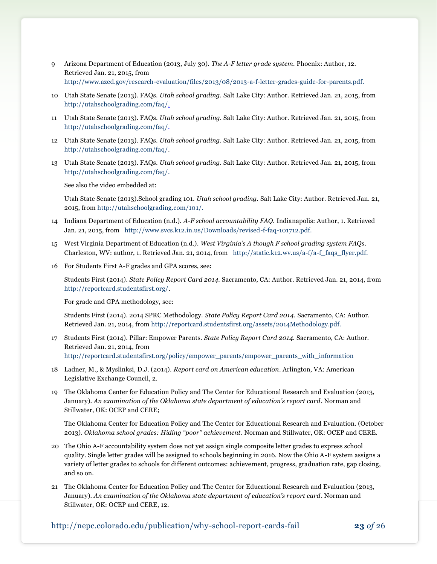- 9 Arizona Department of Education (2013, July 30). *The A-F letter grade system.* Phoenix: Author, 12. Retrieved Jan. 21, 2015, from [http://www.azed.gov/research-evaluation/files/2013/08/2013-a-f-letter-grades-guide-for-parents.pdf.](http://www.azed.gov/research-evaluation/files/2013/08/2013-a-f-letter-grades-guide-for-parents.pdf)
- 10 Utah State Senate (2013). FAQs. *Utah school grading.* Salt Lake City: Author. Retrieved Jan. 21, 2015, from [http://utahschoolgrading.com/faq/.](http://utahschoolgrading.com/faq/)
- 11 Utah State Senate (2013). FAQs. *Utah school grading.* Salt Lake City: Author. Retrieved Jan. 21, 2015, from [http://utahschoolgrading.com/faq/.](http://utahschoolgrading.com/faq/)
- 12 Utah State Senate (2013). FAQs. *Utah school grading.* Salt Lake City: Author. Retrieved Jan. 21, 2015, from [http://utahschoolgrading.com/faq/.](http://utahschoolgrading.com/faq/)
- 13 Utah State Senate (2013). FAQs. *Utah school grading.* Salt Lake City: Author. Retrieved Jan. 21, 2015, from [http://utahschoolgrading.com/faq/.](http://utahschoolgrading.com/faq/)

See also the video embedded at:

Utah State Senate (2013).School grading 101. *Utah school grading.* Salt Lake City: Author. Retrieved Jan. 21, 2015, fro[m http://utahschoolgrading.com/101/.](http://utahschoolgrading.com/101/)

- 14 Indiana Department of Education (n.d.). *A-F school accountability FAQ.* Indianapolis: Author, 1. Retrieved Jan. 21, 2015, from [http://www.svcs.k12.in.us/Downloads/revised-f-faq-101712.pdf.](http://www.svcs.k12.in.us/Downloads/revised-f-faq-101712.pdf)
- 15 West Virginia Department of Education (n.d.). *West Virginia's A though F school grading system FAQs*. Charleston, WV: author, 1. Retrieved Jan. 21, 2014, from [http://static.k12.wv.us/a-f/a-f\\_faqs\\_flyer.pdf.](http://static.k12.wv.us/a-f/a-f_faqs_flyer.pdf)
- 16 For Students First A-F grades and GPA scores, see:

Students First (2014). *State Policy Report Card 2014.* Sacramento, CA: Author. Retrieved Jan. 21, 2014, from [http://reportcard.studentsfirst.org/.](http://reportcard.studentsfirst.org/)

For grade and GPA methodology, see:

Students First (2014). 2014 SPRC Methodology. *State Policy Report Card 2014.* Sacramento, CA: Author. Retrieved Jan. 21, 2014, from [http://reportcard.studentsfirst.org/assets/2014Methodology.pdf.](http://reportcard.studentsfirst.org/assets/2014Methodology.pdf)

- 17 Students First (2014). Pillar: Empower Parents. *State Policy Report Card 2014.* Sacramento, CA: Author. Retrieved Jan. 21, 2014, from [http://reportcard.studentsfirst.org/policy/empower\\_parents/empower\\_parents\\_with\\_information](http://reportcard.studentsfirst.org/policy/empower_parents/empower_parents_with_information)
- 18 Ladner, M., & Myslinksi, D.J. (2014). *Report card on American education*. Arlington, VA: American Legislative Exchange Council, 2.
- 19 The Oklahoma Center for Education Policy and The Center for Educational Research and Evaluation (2013, January). *An examination of the Oklahoma state department of education's report card*. Norman and Stillwater, OK: OCEP and CERE;

The Oklahoma Center for Education Policy and The Center for Educational Research and Evaluation. (October 2013). *Oklahoma school grades: Hiding "poor" achievement*. Norman and Stillwater, OK: OCEP and CERE.

- 20 The Ohio A-F accountability system does not yet assign single composite letter grades to express school quality. Single letter grades will be assigned to schools beginning in 2016. Now the Ohio A-F system assigns a variety of letter grades to schools for different outcomes: achievement, progress, graduation rate, gap closing, and so on.
- 21 The Oklahoma Center for Education Policy and The Center for Educational Research and Evaluation (2013, January). *An examination of the Oklahoma state department of education's report card*. Norman and Stillwater, OK: OCEP and CERE, 12.

http://nepc.colorado.edu/publication/why-school-report-cards-fail **23** *of* 26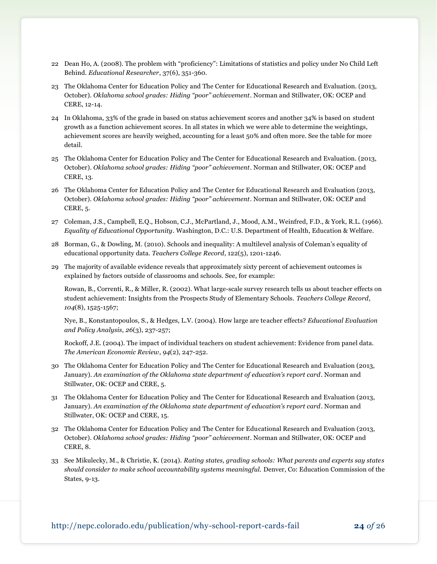- 22 Dean Ho, A. (2008). The problem with "proficiency": Limitations of statistics and policy under No Child Left Behind. *Educational Researcher*, 37(6), 351-360.
- 23 The Oklahoma Center for Education Policy and The Center for Educational Research and Evaluation. (2013, October). *Oklahoma school grades: Hiding "poor" achievement*. Norman and Stillwater, OK: OCEP and CERE, 12-14.
- 24 In Oklahoma, 33% of the grade in based on status achievement scores and another 34% is based on student growth as a function achievement scores. In all states in which we were able to determine the weightings, achievement scores are heavily weighed, accounting for a least 50% and often more. See the table for more detail.
- 25 The Oklahoma Center for Education Policy and The Center for Educational Research and Evaluation. (2013, October). *Oklahoma school grades: Hiding "poor" achievement*. Norman and Stillwater, OK: OCEP and CERE, 13.
- 26 The Oklahoma Center for Education Policy and The Center for Educational Research and Evaluation (2013, October). *Oklahoma school grades: Hiding "poor" achievement*. Norman and Stillwater, OK: OCEP and CERE, 5.
- 27 Coleman, J.S., Campbell, E.Q., Hobson, C.J., McPartland, J., Mood, A.M., Weinfred, F.D., & York, R.L. (1966). *Equality of Educational Opportunity*. Washington, D.C.: U.S. Department of Health, Education & Welfare.
- 28 Borman, G., & Dowling, M. (2010). Schools and inequality: A multilevel analysis of Coleman's equality of educational opportunity data. *Teachers College Record*, 122(5), 1201-1246.
- 29 The majority of available evidence reveals that approximately sixty percent of achievement outcomes is explained by factors outside of classrooms and schools. See, for example:

Rowan, B., Correnti, R., & Miller, R. (2002). What large-scale survey research tells us about teacher effects on student achievement: Insights from the Prospects Study of Elementary Schools. *Teachers College Record*, *104*(8), 1525-1567;

Nye, B., Konstantopoulos, S., & Hedges, L.V. (2004). How large are teacher effects? *Educational Evaluation and Policy Analysis*, *26*(3), 237-257;

Rockoff, J.E. (2004). The impact of individual teachers on student achievement: Evidence from panel data. *The American Economic Review*, *94*(2), 247-252.

- 30 The Oklahoma Center for Education Policy and The Center for Educational Research and Evaluation (2013, January). *An examination of the Oklahoma state department of education's report card*. Norman and Stillwater, OK: OCEP and CERE, 5.
- 31 The Oklahoma Center for Education Policy and The Center for Educational Research and Evaluation (2013, January). *An examination of the Oklahoma state department of education's report card*. Norman and Stillwater, OK: OCEP and CERE, 15.
- 32 The Oklahoma Center for Education Policy and The Center for Educational Research and Evaluation (2013, October). *Oklahoma school grades: Hiding "poor" achievement*. Norman and Stillwater, OK: OCEP and CERE, 8.
- 33 See Mikulecky, M., & Christie, K. (2014). *Rating states, grading schools: What parents and experts say states should consider to make school accountability systems meaningful.* Denver, Co: Education Commission of the States, 9-13.

http://nepc.colorado.edu/publication/why-school-report-cards-fail **24** *of* 26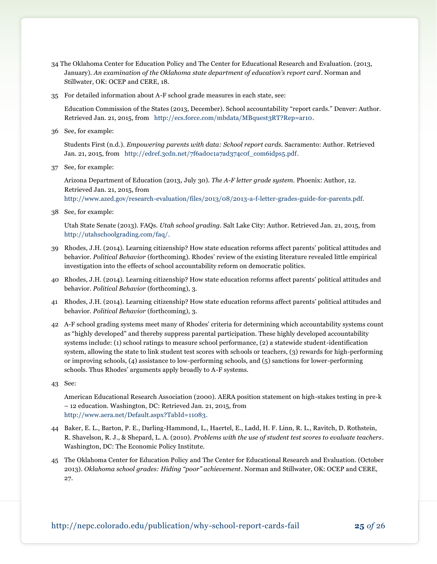- 34 The Oklahoma Center for Education Policy and The Center for Educational Research and Evaluation. (2013, January). *An examination of the Oklahoma state department of education's report card*. Norman and Stillwater, OK: OCEP and CERE, 18.
- 35 For detailed information about A-F school grade measures in each state, see:

Education Commission of the States (2013, December). School accountability "report cards." Denver: Author. Retrieved Jan. 21, 2015, from [http://ecs.force.com/mbdata/MBquest3RT?Rep=ar10.](http://ecs.force.com/mbdata/MBquest3RT?Rep=ar10)

36 See, for example:

Students First (n.d.). *Empowering parents with data: School report cards.* Sacramento: Author. Retrieved Jan. 21, 2015, from http://edref.3cdn.net/7f6ad0c1a7ad374c0f com6idps5.pdf.

37 See, for example:

Arizona Department of Education (2013, July 30). *The A-F letter grade system.* Phoenix: Author, 12. Retrieved Jan. 21, 2015, from [http://www.azed.gov/research-evaluation/files/2013/08/2013-a-f-letter-grades-guide-for-parents.pdf.](http://www.azed.gov/research-evaluation/files/2013/08/2013-a-f-letter-grades-guide-for-parents.pdf)

38 See, for example:

Utah State Senate (2013). FAQs. *Utah school grading.* Salt Lake City: Author. Retrieved Jan. 21, 2015, from [http://utahschoolgrading.com/faq/.](http://utahschoolgrading.com/faq/)

- 39 Rhodes, J.H. (2014). Learning citizenship? How state education reforms affect parents' political attitudes and behavior. *Political Behavior* (forthcoming). Rhodes' review of the existing literature revealed little empirical investigation into the effects of school accountability reform on democratic politics.
- 40 Rhodes, J.H. (2014). Learning citizenship? How state education reforms affect parents' political attitudes and behavior. *Political Behavior* (forthcoming)*,* 3.
- 41 Rhodes, J.H. (2014). Learning citizenship? How state education reforms affect parents' political attitudes and behavior. *Political Behavior* (forthcoming)*,* 3.
- 42 A-F school grading systems meet many of Rhodes' criteria for determining which accountability systems count as "highly developed" and thereby suppress parental participation. These highly developed accountability systems include: (1) school ratings to measure school performance, (2) a statewide student-identification system, allowing the state to link student test scores with schools or teachers, (3) rewards for high-performing or improving schools, (4) assistance to low-performing schools, and (5) sanctions for lower-performing schools. Thus Rhodes' arguments apply broadly to A-F systems.
- 43 See:

American Educational Research Association (2000). AERA position statement on high-stakes testing in pre-k – 12 education. Washington, DC: Retrieved Jan. 21, 2015, from [http://www.aera.net/Default.aspx?TabId=11083.](http://www.aera.net/Default.aspx?TabId=11083)

- 44 Baker, E. L., Barton, P. E., Darling-Hammond, L., Haertel, E., Ladd, H. F. Linn, R. L., Ravitch, D. Rothstein, R. Shavelson, R. J., & Shepard, L. A. (2010). *Problems with the use of student test scores to evaluate teachers*. Washington, DC: The Economic Policy Institute.
- 45 The Oklahoma Center for Education Policy and The Center for Educational Research and Evaluation. (October 2013). *Oklahoma school grades: Hiding "poor" achievement*. Norman and Stillwater, OK: OCEP and CERE, 27.